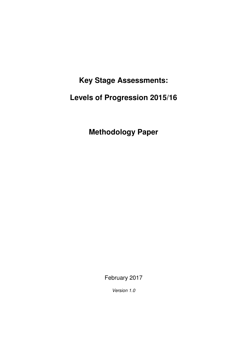**Key Stage Assessments:** 

 **Levels of Progression 2015/16** 

 **Methodology Paper** 

February 2017

Version 1.0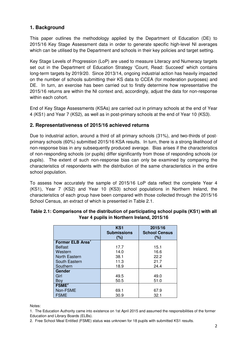# **1. Background**

 This paper outlines the methodology applied by the Department of Education (DE) to 2015/16 Key Stage Assessment data in order to generate specific high-level NI averages which can be utilised by the Department and schools in their key policies and target setting.

 Key Stage Levels of Progression (LoP) are used to measure Literacy and Numeracy targets set out in the Department of Education Strategy 'Count, Read: Succeed' which contains long-term targets by 2019/20. Since 2013/14, ongoing industrial action has heavily impacted on the number of schools submitting their KS data to CCEA (for moderation purposes) and DE. In turn, an exercise has been carried out to firstly determine how representative the 2015/16 returns are within the NI context and, accordingly, adjust the data for non-response within each cohort.

 End of Key Stage Assessments (KSAs) are carried out in primary schools at the end of Year 4 (KS1) and Year 7 (KS2), as well as in post-primary schools at the end of Year 10 (KS3).

# **2. Representativeness of 2015/16 achieved returns**

 Due to industrial action, around a third of all primary schools (31%), and two-thirds of post- primary schools (60%) submitted 2015/16 KSA results. In turn, there is a strong likelihood of non-response bias in any subsequently produced average. Bias arises if the characteristics of non-responding schools (or pupils) differ significantly from those of responding schools (or pupils). The extent of such non-response bias can only be examined by comparing the characteristics of respondents with the distribution of the same characteristics in the entire school population.

 To assess how accurately the sample of 2015/16 LoP data reflect the complete Year 4 (KS1), Year 7 (KS2) and Year 10 (KS3) school populations in Northern Ireland, the characteristics of each group have been compared with those collected through the 2015/16 School Census, an extract of which is presented in Table 2.1.

|                              | KS <sub>1</sub><br><b>Submissions</b><br>(%) | 2015/16<br><b>School Census</b><br>(%) |  |  |
|------------------------------|----------------------------------------------|----------------------------------------|--|--|
| Former ELB Area <sup>1</sup> |                                              |                                        |  |  |
| <b>Belfast</b>               | 17.7                                         | 15.1                                   |  |  |
| Western                      | 14.0                                         | 16.6                                   |  |  |
| <b>North Eastern</b>         | 38.1                                         | 22.2                                   |  |  |
| South Eastern                | 11.3                                         | 21.7                                   |  |  |
| Southern                     | 18.9                                         | 24.4                                   |  |  |
| Gender                       |                                              |                                        |  |  |
| Girl                         | 49.5                                         | 49.0                                   |  |  |
| Boy                          | 50.5                                         | 51.0                                   |  |  |
| FSME <sup>2</sup>            |                                              |                                        |  |  |
| Non-FSME                     | 69.1                                         | 67.9                                   |  |  |
| <b>FSME</b>                  | 30.9                                         | 32.1                                   |  |  |

# **Table 2.1: Comparisons of the distribution of participating school pupils (KS1) with all Year 4 pupils in Northern Ireland, 2015/16**

Notes:

Notes:<br>1. The Education Authority came into existence on 1st April 2015 and assumed the responsibilities of the former Education and Library Boards (ELBs).

2. Free School Meal Entitled (FSME) status was unknown for 18 pupils with submitted KS1 results.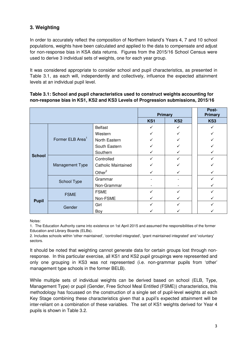# **3. Weighting**

 In order to accurately reflect the composition of Northern Ireland's Years 4, 7 and 10 school populations, weights have been calculated and applied to the data to compensate and adjust for non-response bias in KSA data returns. Figures from the 2015/16 School Census were used to derive 3 individual sets of weights, one for each year group.

 It was considered appropriate to consider school and pupil characteristics, as presented in Table 3.1, as each will, independently and collectively, influence the expected attainment levels at an individual pupil level.

### **Table 3.1: School and pupil characteristics used to construct weights accounting for non-response bias in KS1, KS2 and KS3 Levels of Progression submissions, 2015/16**

|               |                              |                            | <b>Primary</b> |                 |  | Post-<br><b>Primary</b> |
|---------------|------------------------------|----------------------------|----------------|-----------------|--|-------------------------|
|               |                              |                            | KS1            | KS <sub>2</sub> |  | KS3                     |
|               |                              | <b>Belfast</b>             |                |                 |  |                         |
|               |                              | Western                    |                |                 |  |                         |
|               | Former ELB Area <sup>1</sup> | North Eastern              |                |                 |  |                         |
|               |                              | South Eastern              |                |                 |  |                         |
|               |                              | Southern                   |                | ✓               |  |                         |
| <b>School</b> |                              | Controlled                 |                |                 |  |                         |
|               | Management Type              | <b>Catholic Maintained</b> |                |                 |  |                         |
|               |                              | Other $2$                  |                |                 |  |                         |
|               | School Type                  | Grammar                    |                |                 |  |                         |
|               |                              | Non-Grammar                |                |                 |  |                         |
|               | <b>FSME</b>                  | <b>FSME</b>                |                |                 |  |                         |
| <b>Pupil</b>  |                              | Non-FSME                   |                | ✓               |  |                         |
|               | Gender                       | Girl                       |                |                 |  |                         |
|               |                              | Boy                        |                |                 |  |                         |

Notes:

 1. The Education Authority came into existence on 1st April 2015 and assumed the responsibilities of the former Education and Library Boards (ELBs).

 2. Includes schools within 'other maintained', 'controlled integrated', 'grant maintained integrated' and 'voluntary' sectors.

 It should be noted that weighting cannot generate data for certain groups lost through non- response. In this particular exercise, all KS1 and KS2 pupil groupings were represented and only one grouping in KS3 was not represented (i.e. non-grammar pupils from 'other' management type schools in the former BELB).

 While multiple sets of individual weights can be derived based on school (ELB, Type, Management Type) or pupil (Gender, Free School Meal Entitled (FSME)) characteristics, this methodology has focussed on the construction of a single set of pupil-level weights at each Key Stage combining these characteristics given that a pupil's expected attainment will be inter-reliant on a combination of these variables. The set of KS1 weights derived for Year 4 pupils is shown in Table 3.2.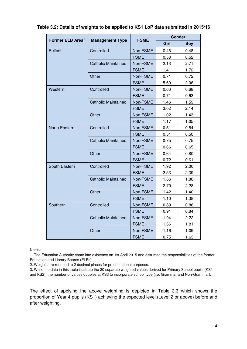| Former ELB Area <sup>1</sup> |                            |             | Gender |            |  |
|------------------------------|----------------------------|-------------|--------|------------|--|
|                              | <b>Management Type</b>     | <b>FSME</b> | Girl   | <b>Boy</b> |  |
| <b>Belfast</b>               | Controlled                 | Non-FSME    | 0.46   | 0.48       |  |
|                              |                            | <b>FSME</b> | 0.58   | 0.52       |  |
|                              | <b>Catholic Maintained</b> | Non-FSME    | 2.13   | 2.71       |  |
|                              |                            | <b>FSME</b> | 1.41   | 1.72       |  |
|                              | Other                      | Non-FSME    | 0.71   | 0.72       |  |
|                              |                            | <b>FSME</b> | 5.60   | 2.06       |  |
| Western                      | Controlled                 | Non-FSME    | 0.66   | 0.68       |  |
|                              |                            | <b>FSME</b> | 0.71   | 0.63       |  |
|                              | Catholic Maintained        | Non-FSME    | 1.46   | 1.59       |  |
|                              |                            | <b>FSME</b> | 3.02   | 2.14       |  |
|                              | Other                      | Non-FSME    | 1.02   | 1.43       |  |
|                              |                            | <b>FSME</b> | 1.17   | 1.05       |  |
| North Eastern                | Controlled                 | Non-FSME    | 0.51   | 0.54       |  |
|                              |                            | <b>FSME</b> | 0.51   | 0.50       |  |
|                              | <b>Catholic Maintained</b> | Non-FSME    | 0.75   | 0.75       |  |
|                              |                            | <b>FSME</b> | 0.66   | 0.65       |  |
|                              | Other                      | Non-FSME    | 0.64   | 0.80       |  |
|                              |                            | <b>FSME</b> | 0.72   | 0.61       |  |
| South Eastern                | Controlled                 |             | 1.92   | 2.00       |  |
|                              |                            | <b>FSME</b> | 2.53   | 2.39       |  |
|                              | <b>Catholic Maintained</b> | Non-FSME    | 1.66   | 1.88       |  |
|                              |                            | <b>FSME</b> | 2.70   | 2.28       |  |
|                              | Other                      | Non-FSME    | 1.42   | 1.40       |  |
|                              |                            | <b>FSME</b> | 1.10   | 1.38       |  |
| Southern                     | Controlled                 | Non-FSME    | 0.89   | 0.86       |  |
|                              |                            | <b>FSME</b> | 0.91   | 0.84       |  |
|                              | <b>Catholic Maintained</b> | Non-FSME    | 1.94   | 2.22       |  |
|                              |                            | <b>FSME</b> | 1.66   | 1.81       |  |
|                              | Other                      | Non-FSME    | 1.16   | 1.09       |  |
|                              |                            | <b>FSME</b> | 0.75   | 1.63       |  |

### **Table 3.2: Details of weights to be applied to KS1 LoP data submitted in 2015/16**

Notes:

 1. The Education Authority came into existence on 1st April 2015 and assumed the responsibilities of the former Education and Library Boards (ELBs).

2. Weights are rounded to 2 decimal places for presentational purposes.

 3. While the data in this table illustrate the 30 separate weighted values derived for Primary School pupils (KS1 and KS2), the number of values doubles at KS3 to incorporate school type (i.e. Grammar and Non-Grammar).

 The effect of applying the above weighting is depicted in Table 3.3 which shows the proportion of Year 4 pupils (KS1) achieving the expected level (Level 2 or above) before and after weighting.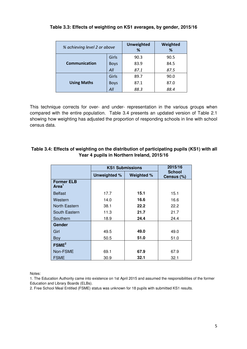| % achieving level 2 or above |             | <b>Unweighted</b><br>% | Weighted<br>% |  |  |
|------------------------------|-------------|------------------------|---------------|--|--|
|                              | Girls       | 90.3                   | 90.5          |  |  |
| Communication                | <b>Boys</b> | 83.9                   | 84.5          |  |  |
|                              | All         | 87.1                   | 87.5          |  |  |
|                              | Girls       | 89.7                   | 90.0          |  |  |
| <b>Using Maths</b>           | <b>Boys</b> | 87.1                   | 87.0          |  |  |
|                              | All         | 88.3                   | 88.4          |  |  |

### **Table 3.3: Effects of weighting on KS1 averages, by gender, 2015/16**

 This technique corrects for over- and under- representation in the various groups when compared with the entire population. Table 3.4 presents an updated version of Table 2.1 showing how weighting has adjusted the proportion of responding schools in line with school census data.

## **Table 3.4: Effects of weighting on the distribution of participating pupils (KS1) with all Year 4 pupils in Northern Ireland, 2015/16**

|                                        | <b>KS1 Submissions</b> | 2015/16    |                             |  |
|----------------------------------------|------------------------|------------|-----------------------------|--|
|                                        | Unweighted %           | Weighted % | <b>School</b><br>Census (%) |  |
| <b>Former ELB</b><br>Area <sup>1</sup> |                        |            |                             |  |
| <b>Belfast</b>                         | 17.7                   | 15.1       | 15.1                        |  |
| Western                                | 14.0                   | 16.6       | 16.6                        |  |
| North Eastern                          | 38.1                   | 22.2       | 22.2                        |  |
| South Eastern                          | 11.3                   | 21.7       | 21.7                        |  |
| Southern                               | 18.9                   | 24.4       | 24.4                        |  |
| Gender                                 |                        |            |                             |  |
| Girl                                   | 49.5                   | 49.0       | 49.0                        |  |
| <b>Boy</b>                             | 50.5                   | 51.0       | 51.0                        |  |
| FSME <sup>2</sup>                      |                        |            |                             |  |
| Non-FSME                               | 69.1                   | 67.9       | 67.9                        |  |
| <b>FSME</b>                            | 30.9                   | 32.1       | 32.1                        |  |

Notes:

 1. The Education Authority came into existence on 1st April 2015 and assumed the responsibilities of the former Education and Library Boards (ELBs).

2. Free School Meal Entitled (FSME) status was unknown for 18 pupils with submitted KS1 results.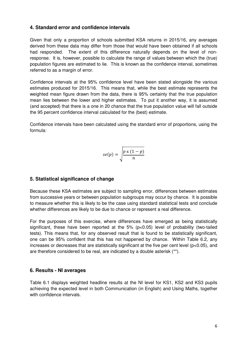# **4. Standard error and confidence intervals**

 Given that only a proportion of schools submitted KSA returns in 2015/16, any averages derived from these data may differ from those that would have been obtained if all schools had responded. The extent of this difference naturally depends on the level of non- response. It is, however, possible to calculate the range of values between which the (true) population figures are estimated to lie. This is known as the confidence interval, sometimes referred to as a margin of error.

 Confidence intervals at the 95% confidence level have been stated alongside the various estimates produced for 2015/16. This means that, while the best estimate represents the weighted mean figure drawn from the data, there is 95% certainty that the true population mean lies between the lower and higher estimates. To put it another way, it is assumed (and accepted) that there is a one in 20 chance that the true population value will fall outside the 95 percent confidence interval calculated for the (best) estimate.

 Confidence intervals have been calculated using the standard error of proportions, using the formula:

$$
se(p) = \sqrt{\frac{p \times (1-p)}{n}}
$$

# **5. Statistical significance of change**

 Because these KSA estimates are subject to sampling error, differences between estimates from successive years or between population subgroups may occur by chance. It is possible to measure whether this is likely to be the case using standard statistical tests and conclude whether differences are likely to be due to chance or represent a real difference.

 For the purposes of this exercise, where differences have emerged as being statistically significant, these have been reported at the 5% (p<0.05) level of probability (two-tailed tests). This means that, for any observed result that is found to be statistically significant, one can be 95% confident that this has not happened by chance. Within Table 6.2, any increases or decreases that are statistically significant at the five per cent level (p<0.05), and are therefore considered to be real, are indicated by a double asterisk (\*\*).

## **6. Results - NI averages**

 Table 6.1 displays weighted headline results at the NI level for KS1, KS2 and KS3 pupils achieving the expected level in both Communication (in English) and Using Maths, together with confidence intervals.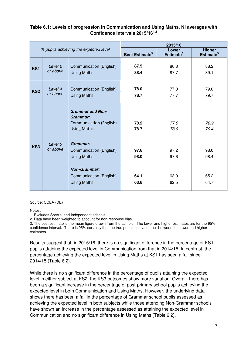## **Table 6.1: Levels of progression in Communication and Using Maths, NI averages with Confidence Intervals 2015/161,2**

|                                       |                     | 2015/16                                                                                                                           |                              |                                |                                        |  |  |
|---------------------------------------|---------------------|-----------------------------------------------------------------------------------------------------------------------------------|------------------------------|--------------------------------|----------------------------------------|--|--|
| % pupils achieving the expected level |                     |                                                                                                                                   | Best Estimate <sup>3</sup>   | Lower<br>Estimate <sup>3</sup> | <b>Higher</b><br>Estimate <sup>3</sup> |  |  |
| KS1                                   | Level 2<br>or above | Communication (English)<br><b>Using Maths</b>                                                                                     | 87.5<br>88.4                 | 86.8<br>87.7                   | 88.2<br>89.1                           |  |  |
| KS <sub>2</sub>                       | Level 4<br>or above | Communication (English)<br><b>Using Maths</b>                                                                                     | 78.0<br>78.7                 | 77.0<br>77.7                   | 79.0<br>79.7                           |  |  |
|                                       |                     | <b>Grammar and Non-</b><br>Grammar:<br>Communication (English)<br><b>Using Maths</b>                                              | 78.2<br>78.7                 | 77.5<br>78.0                   | 78.9<br>79.4                           |  |  |
| KS3                                   | Level 5<br>or above | Grammar:<br>Communication (English)<br><b>Using Maths</b><br><b>Non-Grammar:</b><br>Communication (English)<br><b>Using Maths</b> | 97.6<br>98.0<br>64.1<br>63.6 | 97.2<br>97.6<br>63.0<br>62.5   | 98.0<br>98.4<br>65.2<br>64.7           |  |  |

Source: CCEA (DE)

Notes:

1. Excludes Special and Independent schools.

2. Data have been weighted to account for non-response bias.

 3. The best estimate is the mean figure drawn from the sample. The lower and higher estimates are for the 95% confidence interval. There is 95% certainty that the true population value lies between the lower and higher estimates.

 Results suggest that, in 2015/16, there is no significant difference in the percentage of KS1 pupils attaining the expected level in Communication from that in 2014/15. In contrast, the percentage achieving the expected level in Using Maths at KS1 has seen a fall since 2014/15 (Table 6.2).

 While there is no significant difference in the percentage of pupils attaining the expected level in either subject at KS2, the KS3 outcomes show more variation. Overall, there has been a significant increase in the percentage of post-primary school pupils achieving the expected level in both Communication and Using Maths. However, the underlying data shows there has been a fall in the percentage of Grammar school pupils assessed as achieving the expected level in both subjects while those attending Non-Grammar schools have shown an increase in the percentage assessed as attaining the expected level in Communication and no significant difference in Using Maths (Table 6.2).